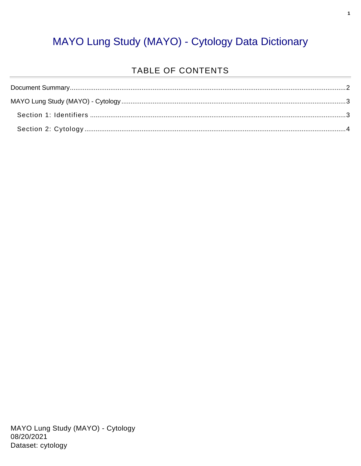#### MAYO Lung Study (MAYO) - Cytology Data Dictionary

#### TABLE OF CONTENTS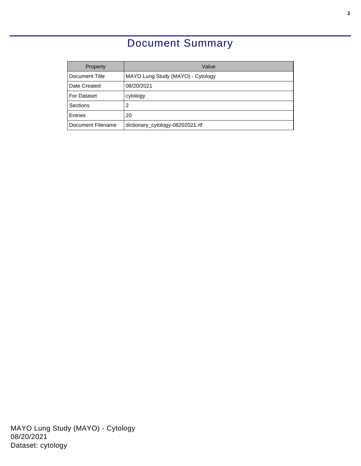### Document Summary

<span id="page-1-0"></span>

| Property          | Value                             |
|-------------------|-----------------------------------|
| Document Title    | MAYO Lung Study (MAYO) - Cytology |
| Date Created      | 08/20/2021                        |
| For Dataset       | cytology                          |
| Sections          | 2                                 |
| <b>Entries</b>    | 20                                |
| Document Filename | dictionary_cytology-08202021.rtf  |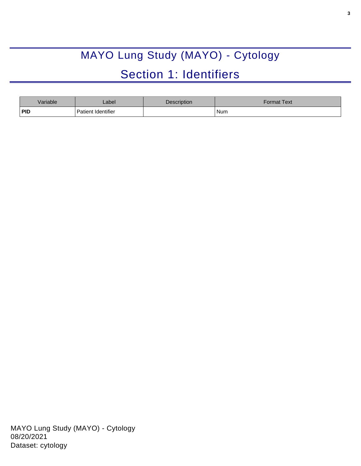# MAYO Lung Study (MAYO) - Cytology Section 1: Identifiers

<span id="page-2-1"></span><span id="page-2-0"></span>

| Variable   | _abel ·            | Description | Format Text |
|------------|--------------------|-------------|-------------|
| <b>PID</b> | Patient Identifier |             | Num         |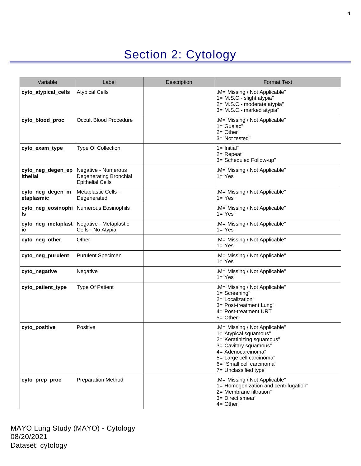## Section 2: Cytology

<span id="page-3-0"></span>

| Variable                       | Label                                                                    | <b>Description</b> | <b>Format Text</b>                                                                                                                                                                                                   |
|--------------------------------|--------------------------------------------------------------------------|--------------------|----------------------------------------------------------------------------------------------------------------------------------------------------------------------------------------------------------------------|
| cyto_atypical_cells            | <b>Atypical Cells</b>                                                    |                    | .M="Missing / Not Applicable"<br>1="M.S.C.- slight atypia"<br>2="M.S.C.- moderate atypia"<br>3="M.S.C.- marked atypia"                                                                                               |
| cyto_blood_proc                | Occult Blood Procedure                                                   |                    | .M="Missing / Not Applicable"<br>1="Guaiac"<br>2="Other"<br>3="Not tested"                                                                                                                                           |
| cyto_exam_type                 | <b>Type Of Collection</b>                                                |                    | $1 = "Initial"$<br>2="Repeat"<br>3="Scheduled Follow-up"                                                                                                                                                             |
| cyto_neg_degen_ep<br>ithelial  | Negative - Numerous<br>Degenerating Bronchial<br><b>Epithelial Cells</b> |                    | .M="Missing / Not Applicable"<br>$1 = "Yes"$                                                                                                                                                                         |
| cyto_neg_degen_m<br>etaplasmic | Metaplastic Cells -<br>Degenerated                                       |                    | .M="Missing / Not Applicable"<br>$1 = "Yes"$                                                                                                                                                                         |
| cyto_neg_eosinophi<br>Is       | Numerous Eosinophils                                                     |                    | .M="Missing / Not Applicable"<br>$1 = "Yes"$                                                                                                                                                                         |
| cyto_neg_metaplast<br>ic       | Negative - Metaplastic<br>Cells - No Atypia                              |                    | .M="Missing / Not Applicable"<br>$1 = "Yes"$                                                                                                                                                                         |
| cyto neg other                 | Other                                                                    |                    | M="Missing / Not Applicable"<br>$1 = "Yes"$                                                                                                                                                                          |
| cyto_neg_purulent              | <b>Purulent Specimen</b>                                                 |                    | .M="Missing / Not Applicable"<br>$1 = "Yes"$                                                                                                                                                                         |
| cyto_negative                  | Negative                                                                 |                    | .M="Missing / Not Applicable"<br>$1 = "Yes"$                                                                                                                                                                         |
| cyto_patient_type              | <b>Type Of Patient</b>                                                   |                    | .M="Missing / Not Applicable"<br>1="Screening"<br>2="Localization"<br>3="Post-treatment Lung"<br>4="Post-treatment URT"<br>5="Other"                                                                                 |
| cyto_positive                  | Positive                                                                 |                    | .M="Missing / Not Applicable"<br>1="Atypical squamous"<br>2="Keratinizing squamous"<br>3="Cavitary squamous"<br>4="Adenocarcinoma"<br>5="Large cell carcinoma"<br>6=" Small cell carcinoma"<br>7="Unclassified type" |
| cyto_prep_proc                 | <b>Preparation Method</b>                                                |                    | .M="Missing / Not Applicable"<br>1="Homogenization and centrifugation"<br>2="Membrane filtration"<br>3="Direct smear"<br>4="Other"                                                                                   |